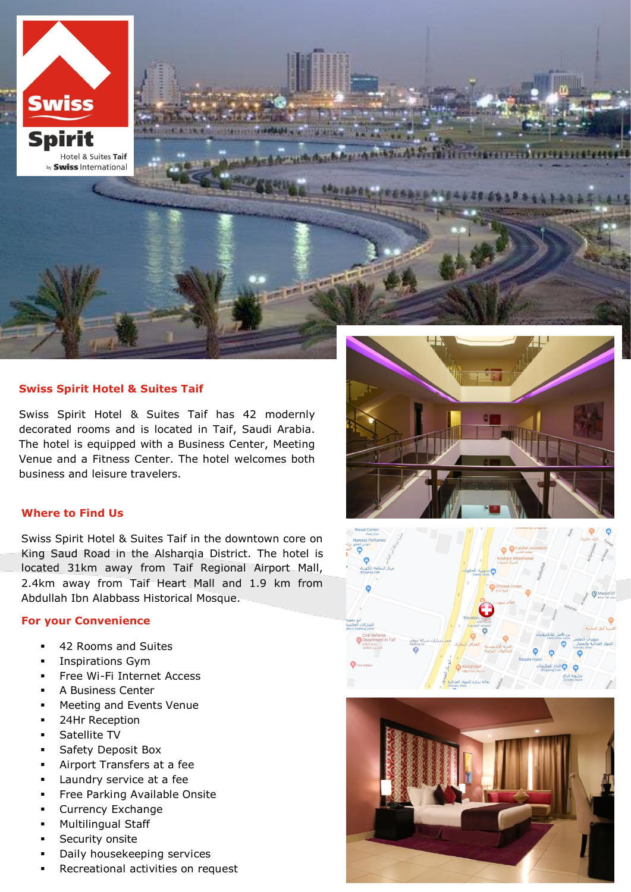**Spirit** Hotel & Suites Taif by **Swiss** International

**Swiss** 

## **Swiss Spirit Hotel & Suites Taif**

Swiss Spirit Hotel & Suites Taif has 42 modernly decorated rooms and is located in Taif, Saudi Arabia. The hotel is equipped with a Business Center, Meeting Venue and a Fitness Center. The hotel welcomes both business and leisure travelers.

**HEARTHER** 

## **Where to Find Us**

Swiss Spirit Hotel & Suites Taif in the downtown core on King Saud Road in the Alsharqia District. The hotel is located 31km away from Taif Regional Airport Mall, 2.4km away from Taif Heart Mall and 1.9 km from Abdullah Ibn Alabbass Historical Mosque.

# **For your Convenience**

- 42 Rooms and Suites
- Inspirations Gym
- Free Wi-Fi Internet Access
- A Business Center
- Meeting and Events Venue
- 24Hr Reception
- Satellite TV
- Safety Deposit Box
- Airport Transfers at a fee
- Laundry service at a fee
- Free Parking Available Onsite
- Currency Exchange
- Multilingual Staff
- Security onsite
- Daily housekeeping services
- Recreational activities on request



Fierrengen und

22 24 3 3 4 4 1